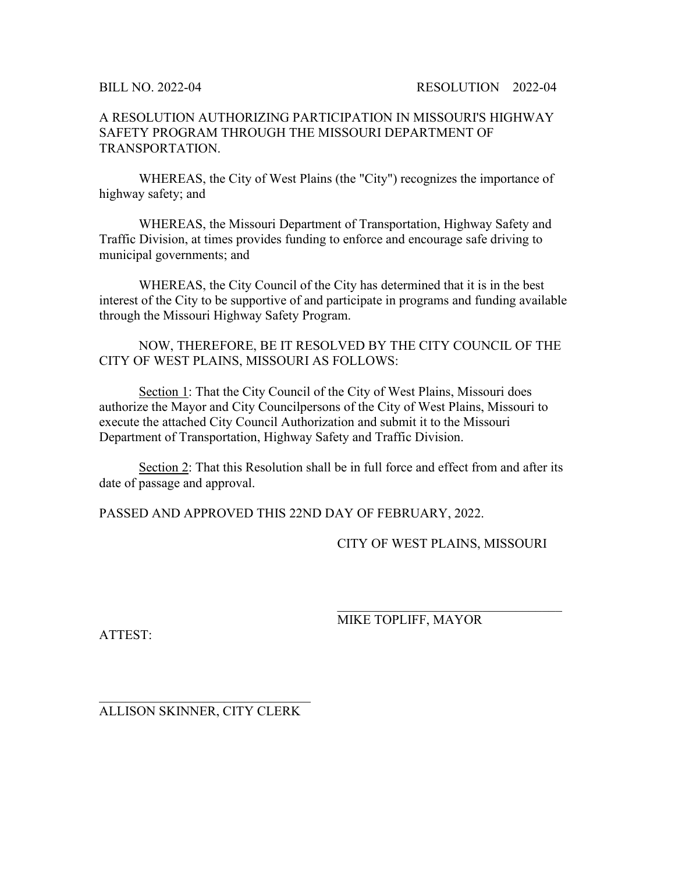## A RESOLUTION AUTHORIZING PARTICIPATION IN MISSOURI'S HIGHWAY SAFETY PROGRAM THROUGH THE MISSOURI DEPARTMENT OF TRANSPORTATION.

WHEREAS, the City of West Plains (the "City") recognizes the importance of highway safety; and

WHEREAS, the Missouri Department of Transportation, Highway Safety and Traffic Division, at times provides funding to enforce and encourage safe driving to municipal governments; and

WHEREAS, the City Council of the City has determined that it is in the best interest of the City to be supportive of and participate in programs and funding available through the Missouri Highway Safety Program.

NOW, THEREFORE, BE IT RESOLVED BY THE CITY COUNCIL OF THE CITY OF WEST PLAINS, MISSOURI AS FOLLOWS:

Section 1: That the City Council of the City of West Plains, Missouri does authorize the Mayor and City Councilpersons of the City of West Plains, Missouri to execute the attached City Council Authorization and submit it to the Missouri Department of Transportation, Highway Safety and Traffic Division.

Section 2: That this Resolution shall be in full force and effect from and after its date of passage and approval.

PASSED AND APPROVED THIS 22ND DAY OF FEBRUARY, 2022.

CITY OF WEST PLAINS, MISSOURI

 $\mathcal{L}_\mathcal{L}$  , which is a set of the set of the set of the set of the set of the set of the set of the set of the set of the set of the set of the set of the set of the set of the set of the set of the set of the set of

ATTEST:

MIKE TOPLIFF, MAYOR

 $\mathcal{L}_\text{max}$  , which is a set of the set of the set of the set of the set of the set of the set of the set of the set of the set of the set of the set of the set of the set of the set of the set of the set of the set of ALLISON SKINNER, CITY CLERK